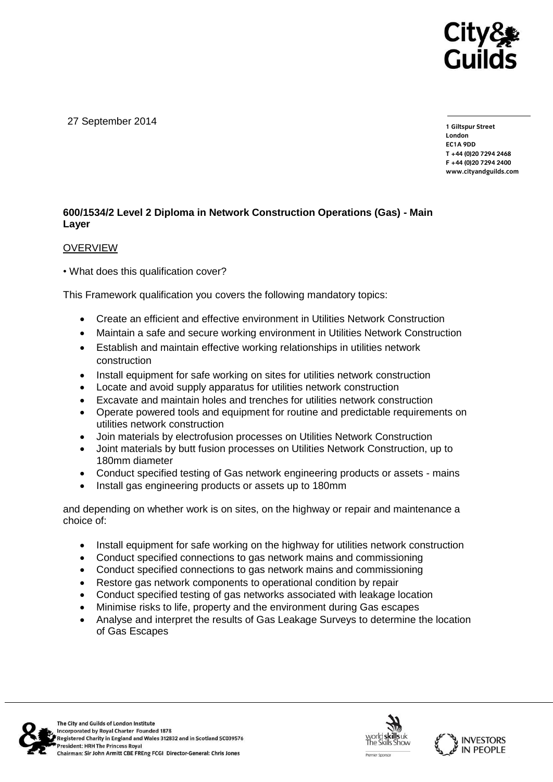

27 September 2014

**1 Giltspur Street EC1A 9DD** T +44 (0) 20 7 294 2468 **T +44 (0)20 7294 246[8](http://www.cityandguilds.com/) F +44 (0)20 7294 2400 [www.cityandguilds.com](http://www.cityandguilds.com/)**

## **600/1534/2 Level 2 Diploma in Network Construction Operations (Gas) - Main Layer**

### OVERVIEW

• What does this qualification cover?

This Framework qualification you covers the following mandatory topics:

- Create an efficient and effective environment in Utilities Network Construction
- Maintain a safe and secure working environment in Utilities Network Construction
- Establish and maintain effective working relationships in utilities network construction
- Install equipment for safe working on sites for utilities network construction
- Locate and avoid supply apparatus for utilities network construction
- Excavate and maintain holes and trenches for utilities network construction
- Operate powered tools and equipment for routine and predictable requirements on utilities network construction
- Join materials by electrofusion processes on Utilities Network Construction
- Joint materials by butt fusion processes on Utilities Network Construction, up to 180mm diameter
- Conduct specified testing of Gas network engineering products or assets mains
- Install gas engineering products or assets up to 180mm

and depending on whether work is on sites, on the highway or repair and maintenance a choice of:

- Install equipment for safe working on the highway for utilities network construction
- Conduct specified connections to gas network mains and commissioning
- Conduct specified connections to gas network mains and commissioning
- Restore gas network components to operational condition by repair
- Conduct specified testing of gas networks associated with leakage location
- Minimise risks to life, property and the environment during Gas escapes
- Analyse and interpret the results of Gas Leakage Surveys to determine the location of Gas Escapes